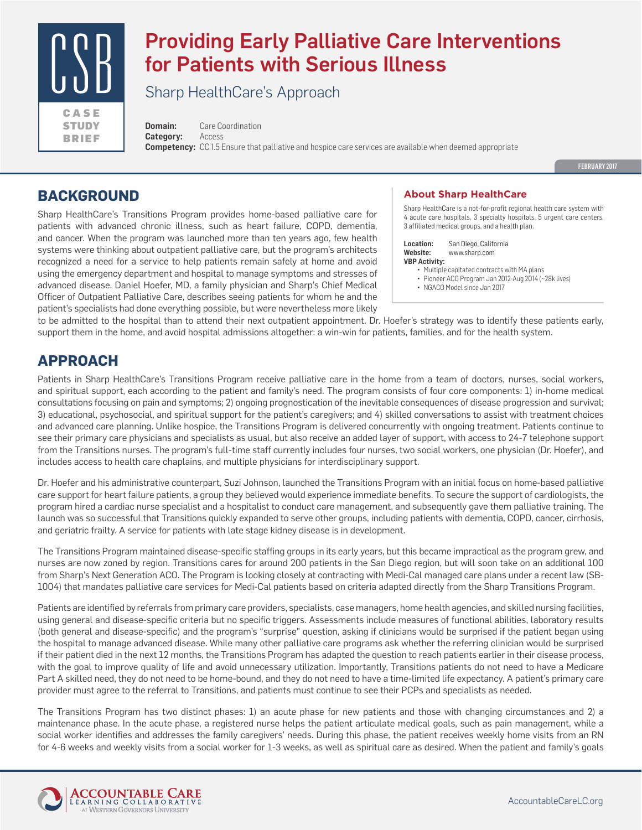

# Providing Early Palliative Care Interventions for Patients with Serious Illness

Sharp HealthCare's Approach

**Domain:** Care Coordination **Category:** Access **Competency:** CC.1.5 Ensure that palliative and hospice care services are available when deemed appropriate

FEBRUARY 2017

### **BACKGROUND**

Sharp HealthCare's Transitions Program provides home-based palliative care for patients with advanced chronic illness, such as heart failure, COPD, dementia, and cancer. When the program was launched more than ten years ago, few health systems were thinking about outpatient palliative care, but the program's architects recognized a need for a service to help patients remain safely at home and avoid using the emergency department and hospital to manage symptoms and stresses of advanced disease. Daniel Hoefer, MD, a family physician and Sharp's Chief Medical Officer of Outpatient Palliative Care, describes seeing patients for whom he and the patient's specialists had done everything possible, but were nevertheless more likely

#### **About Sharp HealthCare**

Sharp HealthCare is a not-for-profit regional health care system with 4 acute care hospitals, 3 specialty hospitals, 5 urgent care centers, 3 affiliated medical groups, and a health plan.

**Location:** San Diego, California **Website:** www.sharp.com **VBP Activity:**

- Multiple capitated contracts with MA plans
- Pioneer ACO Program Jan 2012-Aug 2014 (~28k lives) • NGACO Model since Jan 2017
- 

to be admitted to the hospital than to attend their next outpatient appointment. Dr. Hoefer's strategy was to identify these patients early, support them in the home, and avoid hospital admissions altogether: a win-win for patients, families, and for the health system.

## **APPROACH**

Patients in Sharp HealthCare's Transitions Program receive palliative care in the home from a team of doctors, nurses, social workers, and spiritual support, each according to the patient and family's need. The program consists of four core components: 1) in-home medical consultations focusing on pain and symptoms; 2) ongoing prognostication of the inevitable consequences of disease progression and survival; 3) educational, psychosocial, and spiritual support for the patient's caregivers; and 4) skilled conversations to assist with treatment choices and advanced care planning. Unlike hospice, the Transitions Program is delivered concurrently with ongoing treatment. Patients continue to see their primary care physicians and specialists as usual, but also receive an added layer of support, with access to 24-7 telephone support from the Transitions nurses. The program's full-time staff currently includes four nurses, two social workers, one physician (Dr. Hoefer), and includes access to health care chaplains, and multiple physicians for interdisciplinary support.

Dr. Hoefer and his administrative counterpart, Suzi Johnson, launched the Transitions Program with an initial focus on home-based palliative care support for heart failure patients, a group they believed would experience immediate benefits. To secure the support of cardiologists, the program hired a cardiac nurse specialist and a hospitalist to conduct care management, and subsequently gave them palliative training. The launch was so successful that Transitions quickly expanded to serve other groups, including patients with dementia, COPD, cancer, cirrhosis, and geriatric frailty. A service for patients with late stage kidney disease is in development.

The Transitions Program maintained disease-specific staffing groups in its early years, but this became impractical as the program grew, and nurses are now zoned by region. Transitions cares for around 200 patients in the San Diego region, but will soon take on an additional 100 from Sharp's Next Generation ACO. The Program is looking closely at contracting with Medi-Cal managed care plans under a recent law (SB-1004) that mandates palliative care services for Medi-Cal patients based on criteria adapted directly from the Sharp Transitions Program.

Patients are identified by referrals from primary care providers, specialists, case managers, home health agencies, and skilled nursing facilities, using general and disease-specific criteria but no specific triggers. Assessments include measures of functional abilities, laboratory results (both general and disease-specific) and the program's "surprise" question, asking if clinicians would be surprised if the patient began using the hospital to manage advanced disease. While many other palliative care programs ask whether the referring clinician would be surprised if their patient died in the next 12 months, the Transitions Program has adapted the question to reach patients earlier in their disease process, with the goal to improve quality of life and avoid unnecessary utilization. Importantly, Transitions patients do not need to have a Medicare Part A skilled need, they do not need to be home-bound, and they do not need to have a time-limited life expectancy. A patient's primary care provider must agree to the referral to Transitions, and patients must continue to see their PCPs and specialists as needed.

The Transitions Program has two distinct phases: 1) an acute phase for new patients and those with changing circumstances and 2) a maintenance phase. In the acute phase, a registered nurse helps the patient articulate medical goals, such as pain management, while a social worker identifies and addresses the family caregivers' needs. During this phase, the patient receives weekly home visits from an RN for 4-6 weeks and weekly visits from a social worker for 1-3 weeks, as well as spiritual care as desired. When the patient and family's goals